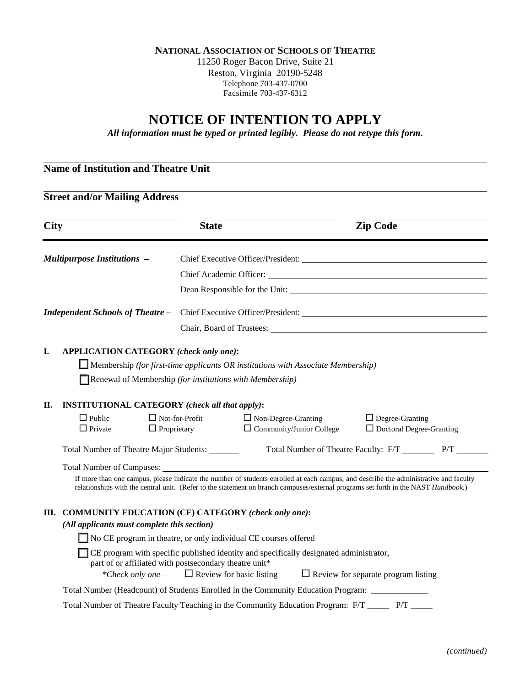**NATIONAL ASSOCIATION OF SCHOOLS OF THEATRE**

11250 Roger Bacon Drive, Suite 21 Reston, Virginia 20190-5248 Telephone 703-437-0700 Facsimile 703-437-6312

# **NOTICE OF INTENTION TO APPLY**

*All information must be typed or printed legibly. Please do not retype this form.*

## **Name of Institution and Theatre Unit**

### **Street and/or Mailing Address**

| $\overline{City}$                                        |                                                                                                                                                                                                                                                                            | <b>State</b>          |                                                               |  | <b>Zip Code</b>                                           |                                                              |  |
|----------------------------------------------------------|----------------------------------------------------------------------------------------------------------------------------------------------------------------------------------------------------------------------------------------------------------------------------|-----------------------|---------------------------------------------------------------|--|-----------------------------------------------------------|--------------------------------------------------------------|--|
| <b>Multipurpose Institutions -</b>                       |                                                                                                                                                                                                                                                                            |                       |                                                               |  |                                                           |                                                              |  |
|                                                          |                                                                                                                                                                                                                                                                            |                       |                                                               |  |                                                           | Chief Academic Officer: Value of the Chief Academic Officer: |  |
|                                                          |                                                                                                                                                                                                                                                                            |                       |                                                               |  | Dean Responsible for the Unit:                            |                                                              |  |
| <b>Independent Schools of Theatre -</b>                  |                                                                                                                                                                                                                                                                            |                       |                                                               |  |                                                           |                                                              |  |
|                                                          |                                                                                                                                                                                                                                                                            |                       |                                                               |  |                                                           |                                                              |  |
| I.                                                       | <b>APPLICATION CATEGORY</b> (check only one):<br>$\Box$ Membership (for first-time applicants OR institutions with Associate Membership)                                                                                                                                   |                       |                                                               |  |                                                           |                                                              |  |
| Renewal of Membership (for institutions with Membership) |                                                                                                                                                                                                                                                                            |                       |                                                               |  |                                                           |                                                              |  |
| П.                                                       | <b>INSTITUTIONAL CATEGORY</b> (check all that apply):<br>$\Box$ Public<br>$\Box$ Private<br>$\Box$ Proprietary                                                                                                                                                             | $\Box$ Not-for-Profit | $\Box$ Non-Degree-Granting<br>$\Box$ Community/Junior College |  | $\Box$ Degree-Granting<br>$\Box$ Doctoral Degree-Granting |                                                              |  |
|                                                          | Total Number of Theatre Major Students: _______                                                                                                                                                                                                                            |                       |                                                               |  |                                                           |                                                              |  |
|                                                          |                                                                                                                                                                                                                                                                            |                       |                                                               |  |                                                           |                                                              |  |
|                                                          | If more than one campus, please indicate the number of students enrolled at each campus, and describe the administrative and faculty<br>relationships with the central unit. (Refer to the statement on branch campuses/external programs set forth in the NAST Handbook.) |                       |                                                               |  |                                                           |                                                              |  |
|                                                          | III. COMMUNITY EDUCATION (CE) CATEGORY (check only one):                                                                                                                                                                                                                   |                       |                                                               |  |                                                           |                                                              |  |
| (All applicants must complete this section)              |                                                                                                                                                                                                                                                                            |                       |                                                               |  |                                                           |                                                              |  |
|                                                          | No CE program in theatre, or only individual CE courses offered                                                                                                                                                                                                            |                       |                                                               |  |                                                           |                                                              |  |
|                                                          | <b>CE</b> program with specific published identity and specifically designated administrator,<br>part of or affiliated with postsecondary theatre unit*<br>$\Box$ Review for basic listing<br>*Check only one -<br>$\Box$ Review for separate program listing              |                       |                                                               |  |                                                           |                                                              |  |
|                                                          | Total Number (Headcount) of Students Enrolled in the Community Education Program: ___________                                                                                                                                                                              |                       |                                                               |  |                                                           |                                                              |  |
|                                                          | Total Number of Theatre Faculty Teaching in the Community Education Program: F/T ______ P/T __                                                                                                                                                                             |                       |                                                               |  |                                                           |                                                              |  |